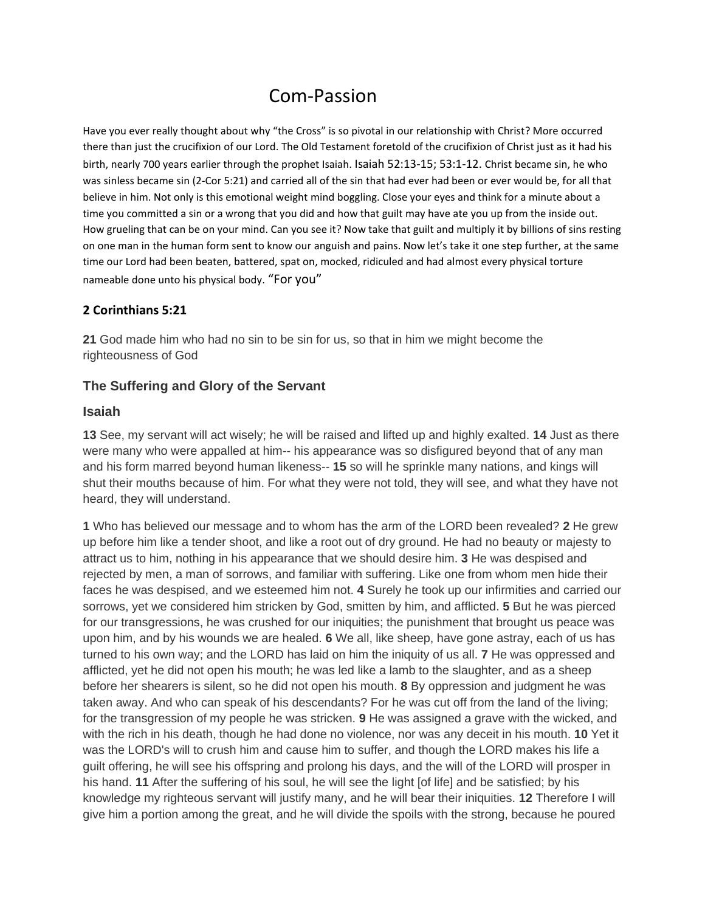# Com-Passion

Have you ever really thought about why "the Cross" is so pivotal in our relationship with Christ? More occurred there than just the crucifixion of our Lord. The Old Testament foretold of the crucifixion of Christ just as it had his birth, nearly 700 years earlier through the prophet Isaiah. Isaiah 52:13-15; 53:1-12. Christ became sin, he who was sinless became sin (2-Cor 5:21) and carried all of the sin that had ever had been or ever would be, for all that believe in him. Not only is this emotional weight mind boggling. Close your eyes and think for a minute about a time you committed a sin or a wrong that you did and how that guilt may have ate you up from the inside out. How grueling that can be on your mind. Can you see it? Now take that guilt and multiply it by billions of sins resting on one man in the human form sent to know our anguish and pains. Now let's take it one step further, at the same time our Lord had been beaten, battered, spat on, mocked, ridiculed and had almost every physical torture nameable done unto his physical body. "For you"

#### **2 Corinthians 5:21**

**21** God made him who had no sin to be sin for us, so that in him we might become the righteousness of God

#### **[The Suffering and Glory of the Servant](http://www.biblestudytools.com/isaiah/passage.aspx?q=isaiah+52:13-15)**

#### **Isaiah**

**13** See, my servant will act wisely; he will be raised and lifted up and highly exalted. **14** Just as there were many who were appalled at him-- his appearance was so disfigured beyond that of any man and his form marred beyond human likeness-- **15** so will he sprinkle many nations, and kings will shut their mouths because of him. For what they were not told, they will see, and what they have not heard, they will understand.

**1** Who has believed our message and to whom has the arm of the LORD been revealed? **2** He grew up before him like a tender shoot, and like a root out of dry ground. He had no beauty or majesty to attract us to him, nothing in his appearance that we should desire him. **3** He was despised and rejected by men, a man of sorrows, and familiar with suffering. Like one from whom men hide their faces he was despised, and we esteemed him not. **4** Surely he took up our infirmities and carried our sorrows, yet we considered him stricken by God, smitten by him, and afflicted. **5** But he was pierced for our transgressions, he was crushed for our iniquities; the punishment that brought us peace was upon him, and by his wounds we are healed. **6** We all, like sheep, have gone astray, each of us has turned to his own way; and the LORD has laid on him the iniquity of us all. **7** He was oppressed and afflicted, yet he did not open his mouth; he was led like a lamb to the slaughter, and as a sheep before her shearers is silent, so he did not open his mouth. **8** By oppression and judgment he was taken away. And who can speak of his descendants? For he was cut off from the land of the living; for the transgression of my people he was stricken. **9** He was assigned a grave with the wicked, and with the rich in his death, though he had done no violence, nor was any deceit in his mouth. **10** Yet it was the LORD's will to crush him and cause him to suffer, and though the LORD makes his life a guilt offering, he will see his offspring and prolong his days, and the will of the LORD will prosper in his hand. **11** After the suffering of his soul, he will see the light [of life] and be satisfied; by his knowledge my righteous servant will justify many, and he will bear their iniquities. **12** Therefore I will give him a portion among the great, and he will divide the spoils with the strong, because he poured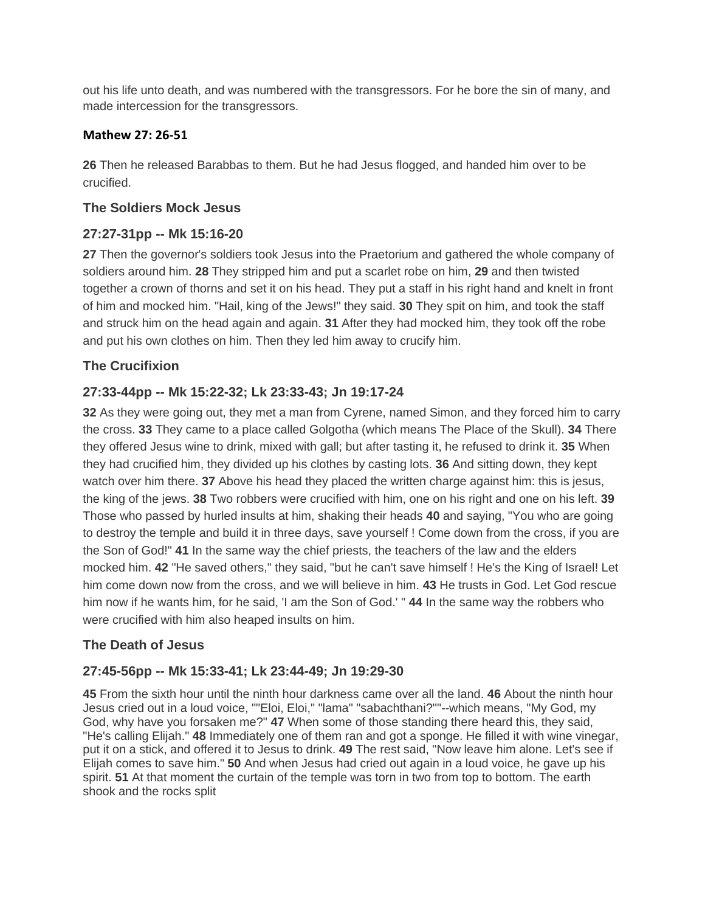out his life unto death, and was numbered with the transgressors. For he bore the sin of many, and made intercession for the transgressors.

## **Mathew 27: 26-51**

**26** Then he released Barabbas to them. But he had Jesus flogged, and handed him over to be crucified.

## **[The Soldiers Mock Jesus](http://www.biblestudytools.com/matthew/passage.aspx?q=matthew+27:27-31)**

# **[27:27-31pp --](http://www.biblestudytools.com/matthew/passage.aspx?q=matthew+27:27-31) Mk 15:16-20**

**27** Then the governor's soldiers took Jesus into the Praetorium and gathered the whole company of soldiers around him. **28** They stripped him and put a scarlet robe on him, **29** and then twisted together a crown of thorns and set it on his head. They put a staff in his right hand and knelt in front of him and mocked him. "Hail, king of the Jews!" they said. **30** They spit on him, and took the staff and struck him on the head again and again. **31** After they had mocked him, they took off the robe and put his own clothes on him. Then they led him away to crucify him.

# **[The Crucifixion](http://www.biblestudytools.com/matthew/passage.aspx?q=matthew+27:32-44)**

# **27:33-44pp -- [Mk 15:22-32; Lk 23:33-43; Jn 19:17-24](http://www.biblestudytools.com/matthew/passage.aspx?q=matthew+27:32-44)**

**32** As they were going out, they met a man from Cyrene, named Simon, and they forced him to carry the cross. **33** They came to a place called Golgotha (which means The Place of the Skull). **34** There they offered Jesus wine to drink, mixed with gall; but after tasting it, he refused to drink it. **35** When they had crucified him, they divided up his clothes by casting lots. **36** And sitting down, they kept watch over him there. **37** Above his head they placed the written charge against him: this is jesus, the king of the jews. **38** Two robbers were crucified with him, one on his right and one on his left. **39** Those who passed by hurled insults at him, shaking their heads **40** and saying, "You who are going to destroy the temple and build it in three days, save yourself ! Come down from the cross, if you are the Son of God!" **41** In the same way the chief priests, the teachers of the law and the elders mocked him. **42** "He saved others," they said, "but he can't save himself ! He's the King of Israel! Let him come down now from the cross, and we will believe in him. **43** He trusts in God. Let God rescue him now if he wants him, for he said, 'I am the Son of God.' " **44** In the same way the robbers who were crucified with him also heaped insults on him.

## **[The Death of Jesus](http://www.biblestudytools.com/matthew/passage.aspx?q=matthew+27:45-56)**

## **27:45-56pp -- [Mk 15:33-41; Lk 23:44-49; Jn 19:29-30](http://www.biblestudytools.com/matthew/passage.aspx?q=matthew+27:45-56)**

**45** From the sixth hour until the ninth hour darkness came over all the land. **46** About the ninth hour Jesus cried out in a loud voice, ""Eloi, Eloi," "lama" "sabachthani?""--which means, "My God, my God, why have you forsaken me?" **47** When some of those standing there heard this, they said, "He's calling Elijah." **48** Immediately one of them ran and got a sponge. He filled it with wine vinegar, put it on a stick, and offered it to Jesus to drink. **49** The rest said, "Now leave him alone. Let's see if Elijah comes to save him." **50** And when Jesus had cried out again in a loud voice, he gave up his spirit. **51** At that moment the curtain of the temple was torn in two from top to bottom. The earth shook and the rocks split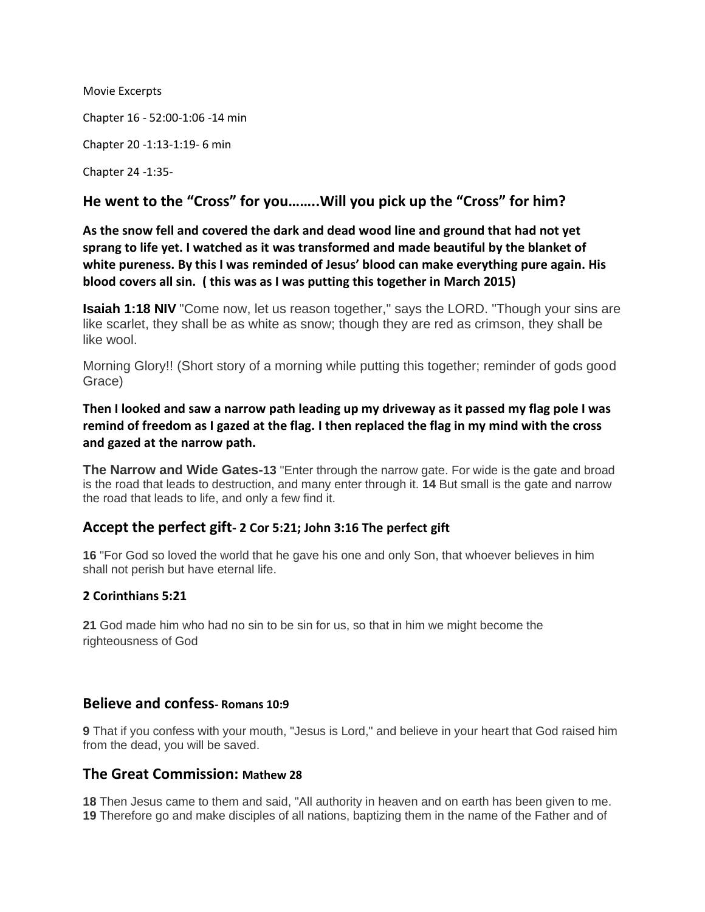Movie Excerpts

Chapter 16 - 52:00-1:06 -14 min

Chapter 20 -1:13-1:19- 6 min

Chapter 24 -1:35-

## **He went to the "Cross" for you……..Will you pick up the "Cross" for him?**

**As the snow fell and covered the dark and dead wood line and ground that had not yet sprang to life yet. I watched as it was transformed and made beautiful by the blanket of white pureness. By this I was reminded of Jesus' blood can make everything pure again. His blood covers all sin. ( this was as I was putting this together in March 2015)**

**[Isaiah 1:18 NIV](http://www.biblestudytools.com/isaiah/1-18.html)** "Come now, let us reason together," says the LORD. "Though your sins are like scarlet, they shall be as white as snow; though they are red as crimson, they shall be like wool.

Morning Glory!! (Short story of a morning while putting this together; reminder of gods good Grace)

**Then I looked and saw a narrow path leading up my driveway as it passed my flag pole I was remind of freedom as I gazed at the flag. I then replaced the flag in my mind with the cross and gazed at the narrow path.**

**[The Narrow and Wide Gates-](http://www.biblestudytools.com/matthew/passage.aspx?q=matthew+7:13-14)13** "Enter through the narrow gate. For wide is the gate and broad is the road that leads to destruction, and many enter through it. **14** But small is the gate and narrow the road that leads to life, and only a few find it.

## **Accept the perfect gift- 2 Cor 5:21; John 3:16 The perfect gift**

**16** "For God so loved the world that he gave his one and only Son, that whoever believes in him shall not perish but have eternal life.

#### **2 Corinthians 5:21**

**21** God made him who had no sin to be sin for us, so that in him we might become the righteousness of God

#### **Believe and confess- Romans 10:9**

**9** That if you confess with your mouth, "Jesus is Lord," and believe in your heart that God raised him from the dead, you will be saved.

#### **The Great Commission: Mathew 28**

**18** Then Jesus came to them and said, "All authority in heaven and on earth has been given to me. **19** Therefore go and make disciples of all nations, baptizing them in the name of the Father and of